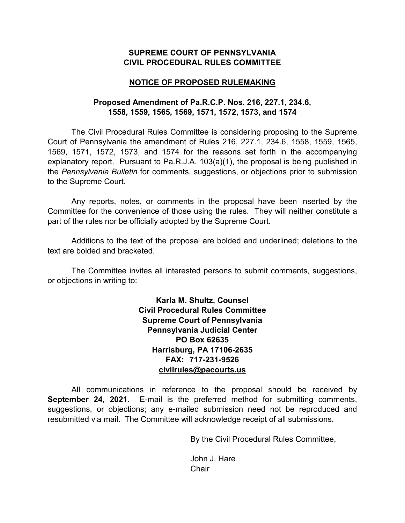#### **SUPREME COURT OF PENNSYLVANIA CIVIL PROCEDURAL RULES COMMITTEE**

#### **NOTICE OF PROPOSED RULEMAKING**

### **Proposed Amendment of Pa.R.C.P. Nos. 216, 227.1, 234.6, 1558, 1559, 1565, 1569, 1571, 1572, 1573, and 1574**

The Civil Procedural Rules Committee is considering proposing to the Supreme Court of Pennsylvania the amendment of Rules 216, 227.1, 234.6, 1558, 1559, 1565, 1569, 1571, 1572, 1573, and 1574 for the reasons set forth in the accompanying explanatory report. Pursuant to Pa.R.J.A. 103(a)(1), the proposal is being published in the *Pennsylvania Bulletin* for comments, suggestions, or objections prior to submission to the Supreme Court.

Any reports, notes, or comments in the proposal have been inserted by the Committee for the convenience of those using the rules. They will neither constitute a part of the rules nor be officially adopted by the Supreme Court.

Additions to the text of the proposal are bolded and underlined; deletions to the text are bolded and bracketed.

The Committee invites all interested persons to submit comments, suggestions, or objections in writing to:

> **Karla M. Shultz, Counsel Civil Procedural Rules Committee Supreme Court of Pennsylvania Pennsylvania Judicial Center PO Box 62635 Harrisburg, PA 17106-2635 FAX: 717-231-9526 [civilrules@pacourts.us](mailto:civilrules@pacourts.us)**

All communications in reference to the proposal should be received by **September 24, 2021.** E-mail is the preferred method for submitting comments, suggestions, or objections; any e-mailed submission need not be reproduced and resubmitted via mail. The Committee will acknowledge receipt of all submissions.

By the Civil Procedural Rules Committee,

John J. Hare **Chair**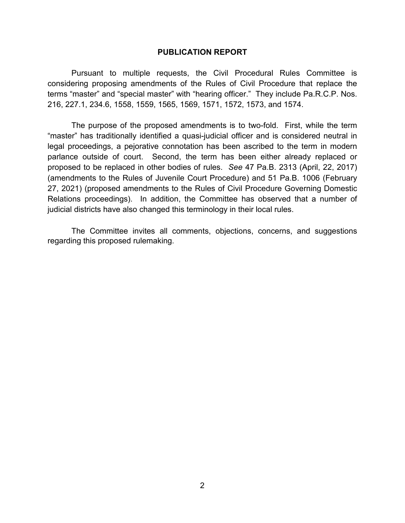#### **PUBLICATION REPORT**

Pursuant to multiple requests, the Civil Procedural Rules Committee is considering proposing amendments of the Rules of Civil Procedure that replace the terms "master" and "special master" with "hearing officer." They include Pa.R.C.P. Nos. 216, 227.1, 234.6, 1558, 1559, 1565, 1569, 1571, 1572, 1573, and 1574.

The purpose of the proposed amendments is to two-fold. First, while the term "master" has traditionally identified a quasi-judicial officer and is considered neutral in legal proceedings, a pejorative connotation has been ascribed to the term in modern parlance outside of court. Second, the term has been either already replaced or proposed to be replaced in other bodies of rules. *See* 47 Pa.B. 2313 (April, 22, 2017) (amendments to the Rules of Juvenile Court Procedure) and 51 Pa.B. 1006 (February 27, 2021) (proposed amendments to the Rules of Civil Procedure Governing Domestic Relations proceedings). In addition, the Committee has observed that a number of judicial districts have also changed this terminology in their local rules.

The Committee invites all comments, objections, concerns, and suggestions regarding this proposed rulemaking.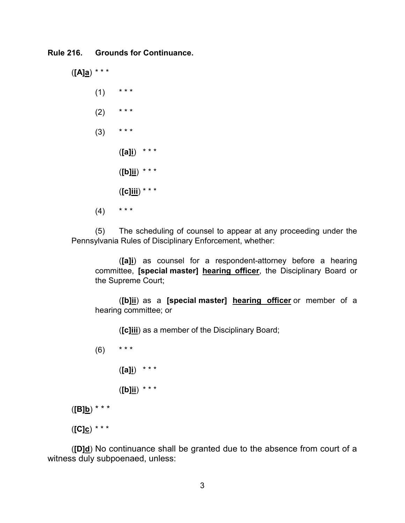**Rule 216. Grounds for Continuance.**

(**[A]a**) \* \* \*  $(1)$  \* \* \*  $(2)$  \*\*\*  $(3)$  \*\*\* (**[a]i**) \* \* \* (**[b]ii**) \* \* \* (**[c]iii**) \* \* \*  $(4)$  \*\*\*

(5) The scheduling of counsel to appear at any proceeding under the Pennsylvania Rules of Disciplinary Enforcement, whether:

(**[a]i**) as counsel for a respondent-attorney before a hearing committee, **[special master] hearing officer**, the Disciplinary Board or the Supreme Court;

(**[b]ii**) as a **[special master] hearing officer** or member of a hearing committee; or

(**[c]iii**) as a member of the Disciplinary Board;

 $(6)$  \*\*\* (**[a]i**) \* \* \* (**[b]ii**) \* \* \* (**[B]b**) \* \* \*

(**[C]c**) \* \* \*

(**[D]d**) No continuance shall be granted due to the absence from court of a witness duly subpoenaed, unless: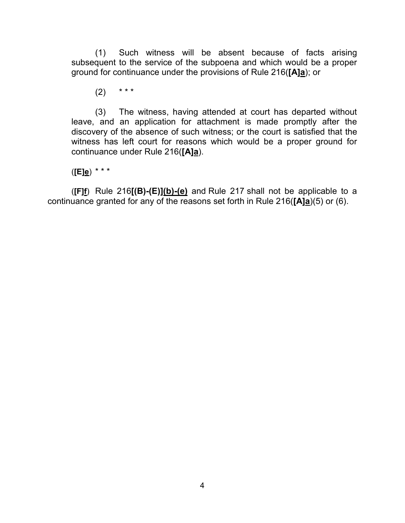(1) Such witness will be absent because of facts arising subsequent to the service of the subpoena and which would be a proper ground for continuance under the provisions of Rule 216(**[A]a**); or

 $(2)$  \* \* \*

(3) The witness, having attended at court has departed without leave, and an application for attachment is made promptly after the discovery of the absence of such witness; or the court is satisfied that the witness has left court for reasons which would be a proper ground for continuance under Rule 216(**[A]a**).

(**[E]e**) \* \* \*

(**[F]f**) Rule 216**[(B)-(E)](b)-(e)** and Rule 217 shall not be applicable to a continuance granted for any of the reasons set forth in Rule 216(**[A]a**)(5) or (6).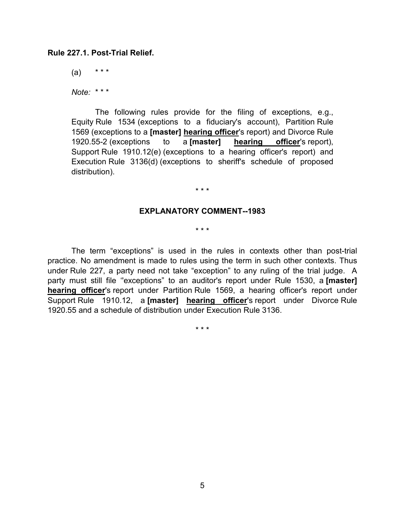#### **Rule 227.1. Post-Trial Relief.**

 $(a)$  \*\*\*

*Note:* \* \* \*

The following rules provide for the filing of exceptions, e.g., Equity Rule 1534 (exceptions to a fiduciary's account), Partition Rule 1569 (exceptions to a **[master] hearing officer**'s report) and Divorce Rule 1920.55-2 (exceptions to a **[master] hearing officer**'s report), Support Rule 1910.12(e) (exceptions to a hearing officer's report) and Execution Rule 3136(d) (exceptions to sheriff's schedule of proposed distribution).

#### \* \* \*

#### **EXPLANATORY COMMENT--1983**

\* \* \*

The term "exceptions" is used in the rules in contexts other than post-trial practice. No amendment is made to rules using the term in such other contexts. Thus under Rule 227, a party need not take "exception" to any ruling of the trial judge. A party must still file ''exceptions" to an auditor's report under Rule 1530, a **[master] hearing officer**'s report under Partition Rule 1569, a hearing officer's report under Support Rule 1910.12, a **[master] hearing officer**'s report under Divorce Rule 1920.55 and a schedule of distribution under Execution Rule 3136.

\* \* \*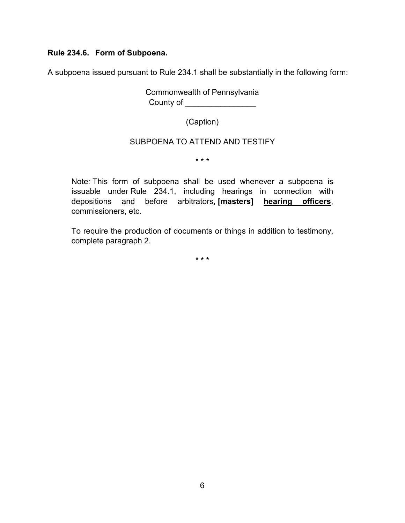### **Rule 234.6. Form of Subpoena.**

A subpoena issued pursuant to Rule 234.1 shall be substantially in the following form:

Commonwealth of Pennsylvania County of \_\_\_\_\_\_\_\_\_\_\_\_\_\_\_\_\_\_\_\_

(Caption)

### SUBPOENA TO ATTEND AND TESTIFY

\* \* \*

Note*:* This form of subpoena shall be used whenever a subpoena is issuable under Rule 234.1, including hearings in connection with depositions and before arbitrators, **[masters] hearing officers**, commissioners, etc.

To require the production of documents or things in addition to testimony, complete paragraph 2.

**\* \* \***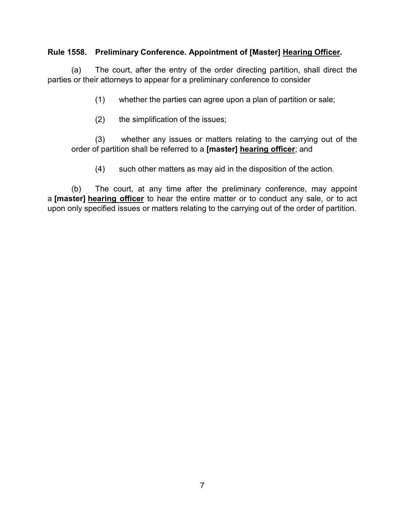### **Rule 1558. Preliminary Conference. Appointment of [Master] Hearing Officer.**

(a) The court, after the entry of the order directing partition, shall direct the parties or their attorneys to appear for a preliminary conference to consider

(1) whether the parties can agree upon a plan of partition or sale;

(2) the simplification of the issues;

(3) whether any issues or matters relating to the carrying out of the order of partition shall be referred to a **[master] hearing officer**; and

(4) such other matters as may aid in the disposition of the action.

(b) The court, at any time after the preliminary conference, may appoint a **[master] hearing officer** to hear the entire matter or to conduct any sale, or to act upon only specified issues or matters relating to the carrying out of the order of partition.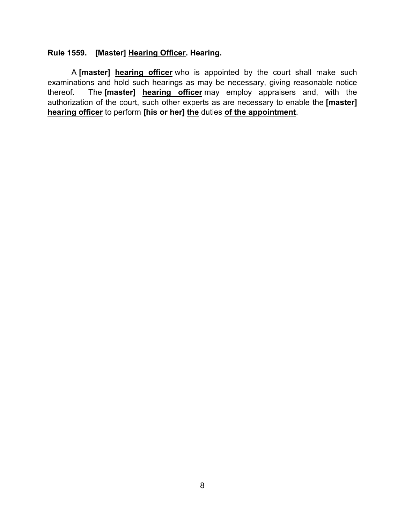### **Rule 1559. [Master] Hearing Officer. Hearing.**

A **[master] hearing officer** who is appointed by the court shall make such examinations and hold such hearings as may be necessary, giving reasonable notice thereof. The **[master] hearing officer** may employ appraisers and, with the authorization of the court, such other experts as are necessary to enable the **[master] hearing officer** to perform **[his or her] the** duties **of the appointment**.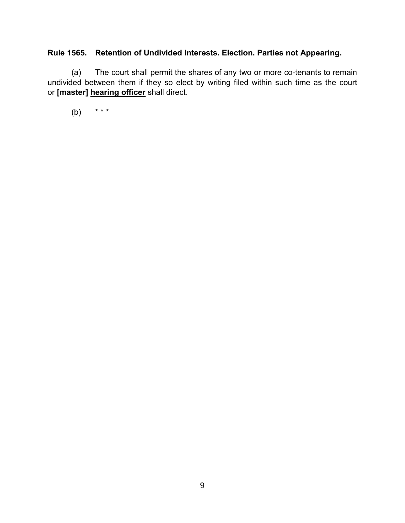## **Rule 1565. Retention of Undivided Interests. Election. Parties not Appearing.**

(a) The court shall permit the shares of any two or more co-tenants to remain undivided between them if they so elect by writing filed within such time as the court or **[master] hearing officer** shall direct.

(b) \* \* \*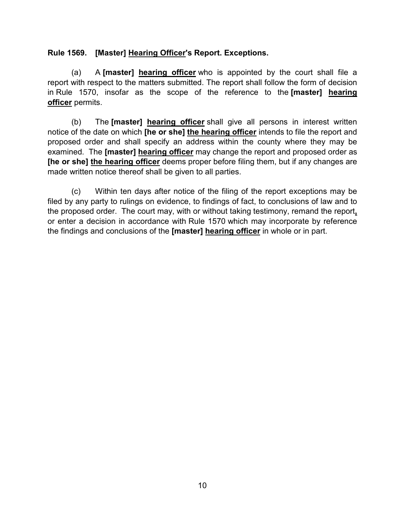### **Rule 1569. [Master] Hearing Officer's Report. Exceptions.**

(a) A **[master] hearing officer** who is appointed by the court shall file a report with respect to the matters submitted. The report shall follow the form of decision in Rule 1570, insofar as the scope of the reference to the **[master] hearing officer** permits.

(b) The **[master] hearing officer** shall give all persons in interest written notice of the date on which **[he or she] the hearing officer** intends to file the report and proposed order and shall specify an address within the county where they may be examined. The **[master] hearing officer** may change the report and proposed order as **[he or she] the hearing officer** deems proper before filing them, but if any changes are made written notice thereof shall be given to all parties.

(c) Within ten days after notice of the filing of the report exceptions may be filed by any party to rulings on evidence, to findings of fact, to conclusions of law and to the proposed order. The court may, with or without taking testimony, remand the report**,** or enter a decision in accordance with Rule 1570 which may incorporate by reference the findings and conclusions of the **[master] hearing officer** in whole or in part.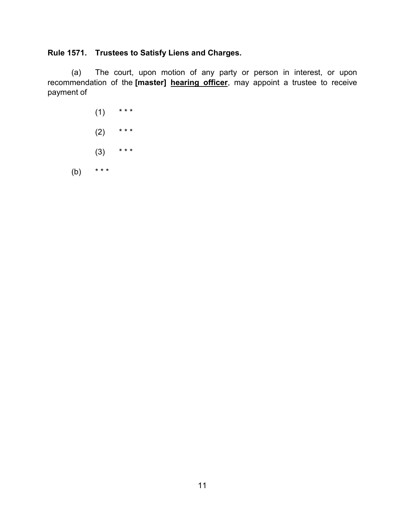# **Rule 1571. Trustees to Satisfy Liens and Charges.**

(a) The court, upon motion of any party or person in interest, or upon recommendation of the **[master] hearing officer**, may appoint a trustee to receive payment of

 $(1)$  \* \* \*  $(2)$  \*\*\*  $(3)$  \*\*\* (b)  $***$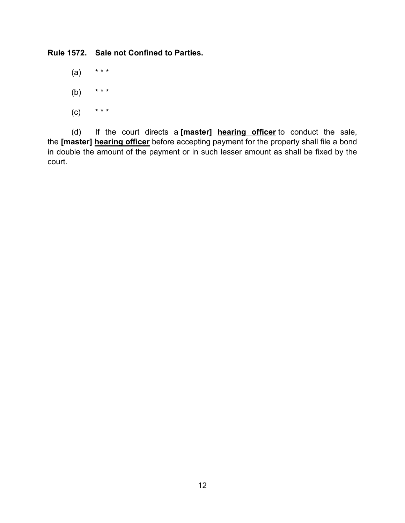**Rule 1572. Sale not Confined to Parties.**

- $(a)$  \*\*\*
- (b) \* \* \*
- $(C)$  \* \* \*

(d) If the court directs a **[master] hearing officer** to conduct the sale, the **[master] hearing officer** before accepting payment for the property shall file a bond in double the amount of the payment or in such lesser amount as shall be fixed by the court.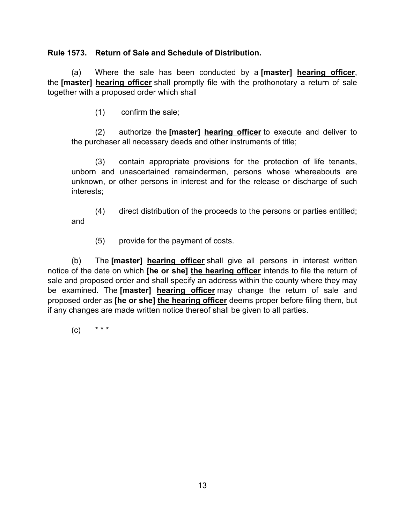### **Rule 1573. Return of Sale and Schedule of Distribution.**

(a) Where the sale has been conducted by a **[master] hearing officer**, the **[master] hearing officer** shall promptly file with the prothonotary a return of sale together with a proposed order which shall

(1) confirm the sale;

(2) authorize the **[master] hearing officer** to execute and deliver to the purchaser all necessary deeds and other instruments of title;

(3) contain appropriate provisions for the protection of life tenants, unborn and unascertained remaindermen, persons whose whereabouts are unknown, or other persons in interest and for the release or discharge of such interests;

(4) direct distribution of the proceeds to the persons or parties entitled; and

(5) provide for the payment of costs.

(b) The **[master] hearing officer** shall give all persons in interest written notice of the date on which **[he or she] the hearing officer** intends to file the return of sale and proposed order and shall specify an address within the county where they may be examined. The **[master] hearing officer** may change the return of sale and proposed order as **[he or she] the hearing officer** deems proper before filing them, but if any changes are made written notice thereof shall be given to all parties.

 $(c)$  \* \* \*